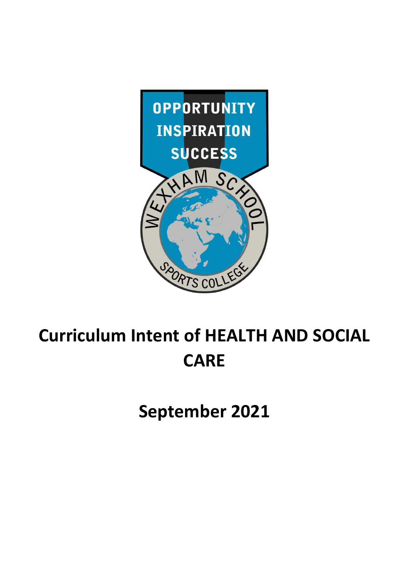

# **Curriculum Intent of HEALTH AND SOCIAL CARE**

**September 2021**